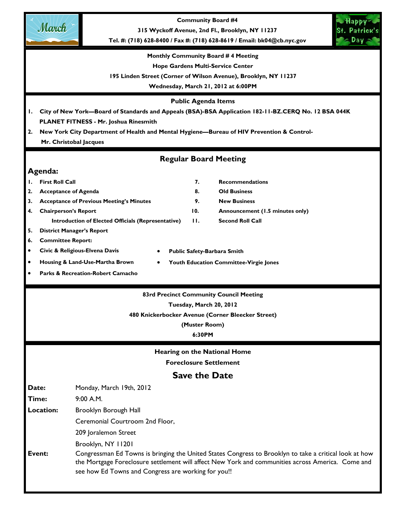

**Community Board #4** 

**315 Wyckoff Avenue, 2nd Fl., Brooklyn, NY 11237** 

**Tel. #: (718) 628-8400 / Fax #: (718) 628-8619 / Email: bk04@cb.nyc.gov** 



#### **Monthly Community Board # 4 Meeting**

**Hope Gardens Multi-Service Center** 

**195 Linden Street (Corner of Wilson Avenue), Brooklyn, NY 11237** 

**Wednesday, March 21, 2012 at 6:00PM** 

#### **Public Agenda Items**

**1. City of New York—Board of Standards and Appeals (BSA)-BSA Application 182-11-BZ.CERQ No. 12 BSA 044K PLANET FITNESS - Mr. Joshua Rinesmith** 

**2. New York City Department of Health and Mental Hygiene—Bureau of HIV Prevention & Control- Mr. Christobal Jacques** 

# **Regular Board Meeting**

# **Agenda:**

- **1. First Roll Call 7. Recommendations**  2. Acceptance of Agenda **8.** Old Business
- **3. Acceptance of Previous Meeting's Minutes 9. New Business**
- **4. Chairperson's Report 10. Announcement (1.5 minutes only)** 
	- **Introduction of Elected Officials (Representative) 11. Second Roll Call**
- **5. District Manager's Report**
- **6. Committee Report:**
- **Civic & Religious-Elvena Davis**
- **Housing & Land-Use-Martha Brown**
- **Youth Education Committee-Virgie Jones**

• **Public Safety-Barbara Smith**

• **Parks & Recreation-Robert Camacho**

#### **83rd Precinct Community Council Meeting**

### **Tuesday, March 20, 2012**

**480 Knickerbocker Avenue (Corner Bleecker Street)** 

**(Muster Room)** 

**6:30PM** 

**Hearing on the National Home** 

**Foreclosure Settlement** 

# **Save the Date**

Date: Monday, March 19th, 2012

**Time:** 9:00 A.M.

**Location:** Brooklyn Borough Hall

Ceremonial Courtroom 2nd Floor,

209 Joralemon Street

Brooklyn, NY 11201

# **Event:** Congressman Ed Towns is bringing the United States Congress to Brooklyn to take a critical look at how the Mortgage Foreclosure settlement will affect New York and communities across America. Come and see how Ed Towns and Congress are working for you!!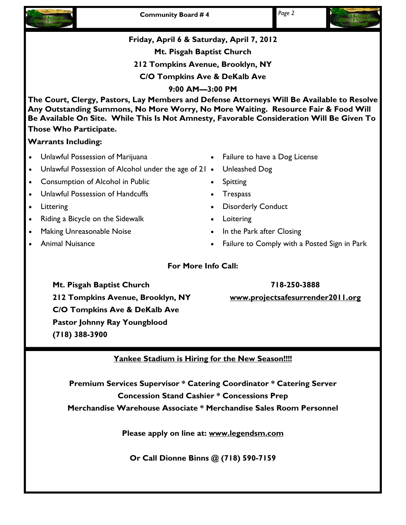





# **718-250-3888**

**www.projectsafesurrender2011.org**

**Mt. Pisgah Baptist Church 212 Tompkins Avenue, Brooklyn, NY C/O Tompkins Ave & DeKalb Ave Pastor Johnny Ray Youngblood (718) 388-3900** 

# **Yankee Stadium is Hiring for the New Season!!!!**

**Premium Services Supervisor \* Catering Coordinator \* Catering Server Concession Stand Cashier \* Concessions Prep Merchandise Warehouse Associate \* Merchandise Sales Room Personnel** 

**Please apply on line at: www.legendsm.com**

**Or Call Dionne Binns @ (718) 590-7159**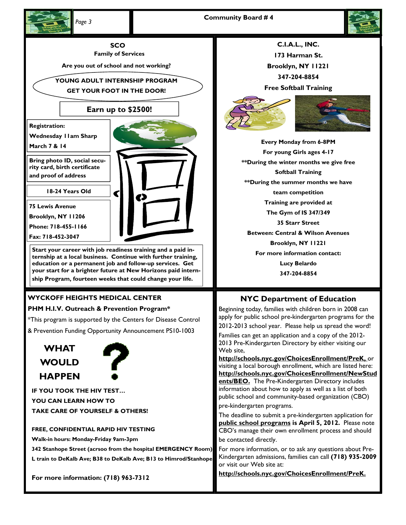



**SCO** 

**Family of Services** 

**Are you out of school and not working?** 

**YOUNG ADULT INTERNSHIP PROGRAM GET YOUR FOOT IN THE DOOR!** 

# **Earn up to \$2500!**

**Registration:** 

**Wednesday 11am Sharp** 

**March 7 & 14** 

**Bring photo ID, social security card, birth certificate and proof of address** 

**18-24 Years Old** 

**75 Lewis Avenue** 

**Brooklyn, NY 11206** 

**Phone: 718-455-1166** 

**Fax: 718-452-3047** 

**Start your career with job readiness training and a paid internship at a local business. Continue with further training, education or a permanent job and follow-up services. Get your start for a brighter future at New Horizons paid internship Program, fourteen weeks that could change your life.** 

# **WYCKOFF HEIGHTS MEDICAL CENTER**

# **PHM H.I.V. Outreach & Prevention Program\***

\*This program is supported by the Centers for Disease Control

& Prevention Funding Opportunity Announcement PS10-1003





**IF YOU TOOK THE HIV TEST… YOU CAN LEARN HOW TO TAKE CARE OF YOURSELF & OTHERS!** 

**FREE, CONFIDENTIAL RAPID HIV TESTING Walk-in hours: Monday-Friday 9am-3pm** 

**342 Stanhope Street (acrsoo from the hospital EMERGENCY Room) L train to DeKalb Ave; B38 to DeKalb Ave; B13 to Himrod/Stanhope** 

**For more information: (718) 963-7312** 

**C.I.A.L., INC. 173 Harman St. Brooklyn, NY 11221 347-204-8854 Free Softball Training** 



**Every Monday from 6-8PM For young Girls ages 4-17 \*\*During the winter months we give free Softball Training \*\*During the summer months we have team competition Training are provided at The Gym of IS 347/349 35 Starr Street Between: Central & Wilson Avenues Brooklyn, NY 11221 For more information contact: Lucy Belardo 347-204-8854** 

# **NYC Department of Education**

Beginning today, families with children born in 2008 can apply for public school pre-kindergarten programs for the 2012-2013 school year. Please help us spread the word!

Families can get an application and a copy of the 2012- 2013 Pre-Kindergarten Directory by either visiting our Web site,

**http://schools.nyc.gov/ChoicesEnrollment/PreK,** or visiting a local borough enrollment, which are listed here: **http://schools.nyc.gov/ChoicesEnrollment/NewStud ents/BEO.** The Pre-Kindergarten Directory includes information about how to apply as well as a list of both public school and community-based organization (CBO)

pre-kindergarten programs.

The deadline to submit a pre-kindergarten application for **public school programs is April 5, 2012.** Please note CBO's manage their own enrollment process and should be contacted directly.

For more information, or to ask any questions about Pre-Kindergarten admissions, families can call **(718) 935-2009**  or visit our Web site at:

**http://schools.nyc.gov/ChoicesEnrollment/PreK.**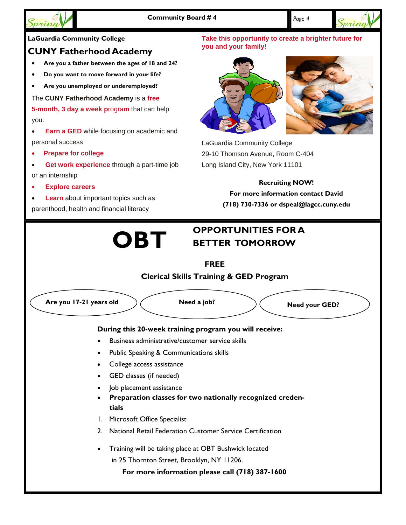



# **LaGuardia Community College**

# **CUNY Fatherhood Academy**

- **Are you a father between the ages of 18 and 24?**
- **Do you want to move forward in your life?**
- **Are you unemployed or underemployed?**

# The **CUNY Fatherhood Academy** is a **free**

**5-month, 3 day a week p**rogra**m** that can help you:

- **Earn a GED** while focusing on academic and personal success
- **Prepare for college**
- **Get work experience** through a part-time job or an internship
- **Explore careers**
- **Learn** about important topics such as parenthood, health and financial literacy

# **Take this opportunity to create a brighter future for you and your family!**





LaGuardia Community College 29-10 Thomson Avenue, Room C-404 Long Island City, New York 11101

# **Recruiting NOW!**

**For more information contact David (718) 730-7336 or dspeal@lagcc.cuny.edu** 

# **OBT** OPPORTUNITIES FOR A **BETTER TOMORROW**

# **FREE Clerical Skills Training & GED Program**

Are you 17-21 years old  $\bigg)$  ( Need a job?  $\bigg)$  ( Need your GED? **During this 20-week training program you will receive:**  • Business administrative/customer service skills Public Speaking & Communications skills • College access assistance GED classes (if needed) • Job placement assistance • **Preparation classes for two nationally recognized credentials**  1. Microsoft Office Specialist 2. National Retail Federation Customer Service Certification • Training will be taking place at OBT Bushwick located in 25 Thornton Street, Brooklyn, NY 11206. **For more information please call (718) 387-1600**